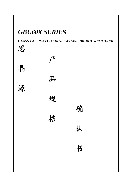# *GBU60X SERIES*

*GLASS PASSIVATED SINGLE-PHASE BRIDGE RECTIFIER*

| 思 |   |   |  |
|---|---|---|--|
|   | 产 |   |  |
| 品 |   |   |  |
|   | 品 |   |  |
| 源 |   |   |  |
|   | 规 |   |  |
|   |   | 确 |  |
|   | 格 |   |  |
|   |   | 认 |  |
|   |   |   |  |
|   |   | 书 |  |
|   |   |   |  |
|   |   |   |  |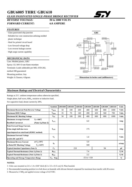## **GBU6005 THRU GBU610**

#### *GLASS PASSIVATED SINGLE-PHASE BRIDGE RECTIFIER*

### *REVERSE VOLTAGE:* **50 to 1000 VOLTS** *FORWARD CURRENT:* **6.0 AMPERE**



#### *FEATURES*

- · Glass passivated chip junction **GBU**
- · Reliable low cost construction utilizing molded plastic technique
- · Ideal for printed circuit board
- · Low forward voltage drop
- · Low reverse leakage current
- · High surge current capability

#### *MECHANICAL DATA*

Case: Molded plastic, GBU Epoxy: UL 94V-O rate flame retardant Terminals: Leads solderable per MIL-STD-202, method 208 guaranteed Mounting position: Any Weight: 0.15ounce, 4.0gram



**Dimensions in inches and (millimeters)**

#### *Maximum Ratings and Electrical Characteristics*

Ratings at 25℃ ambient temperature unless otherwise specified.

Single phase, half wave,  $60H<sub>z</sub>$ , resistive or inductive load.

For capacitive load, derate current by 20%.

|                                                          | <b>Symbols</b>          | <b>GBU6005</b>  | <b>GBU601</b> | <b>GBU602</b> | <b>GBU604</b> | <b>GBU606</b> | <b>GBU608</b> | <b>GBU610</b> | <b>Units</b> |  |  |  |  |
|----------------------------------------------------------|-------------------------|-----------------|---------------|---------------|---------------|---------------|---------------|---------------|--------------|--|--|--|--|
| <b>Maximum Recurrent Peak Reverse Voltage</b>            | $V_{\rm RRM}$           | 50              | 100           | 200           | 400           | 600           | 800           | 1000          | <b>Volts</b> |  |  |  |  |
| <b>Maximum RMS Voltage</b>                               | $\rm V_{RMS}$           | 35              | 70            | 140           | 280           | 420           | 560           | 700           | <b>Volts</b> |  |  |  |  |
| <b>Maximum DC Blocking Voltage</b>                       | $\rm V_{DC}$            | 50              | 100           | 200           | 400           | 600           | 800           | 1000          | <b>Volts</b> |  |  |  |  |
| $T_c = 100^{\circ}C$<br><b>Maximum Average Forward</b>   |                         |                 |               |               |               |               |               |               |              |  |  |  |  |
| <b>Rectified Current at</b><br>(Note 1), (Note 2)        | $I_{(AV)}$              | 6.0             |               |               |               |               |               |               | Amp          |  |  |  |  |
| <b>Peak Forward Surge Current,</b>                       |                         |                 |               |               |               |               |               |               | Amp          |  |  |  |  |
| 8.3ms single half-sine-wave                              | $I_{FSM}$               | 175             |               |               |               |               |               |               |              |  |  |  |  |
| superimposed on rated load (JEDEC method)                |                         |                 |               |               |               |               |               |               |              |  |  |  |  |
| <b>Maximum Forward Voltage</b>                           | $\mathbf{V}_\mathbf{F}$ | 1.0             |               |               |               |               |               |               | <b>Volts</b> |  |  |  |  |
| at 6.0A DC and $25^{\circ}$ C                            |                         |                 |               |               |               |               |               |               |              |  |  |  |  |
| at $T_A = 25^{\circ}C$<br><b>Maximum Reverse Current</b> |                         |                 |               |               | 5.0           |               |               |               |              |  |  |  |  |
| $T_A=125^{\circ}C$<br>at Rated DC Blocking Voltage       | $I_R$                   |                 |               |               | 500           |               |               | uAmp          |              |  |  |  |  |
| <b>Typical Junction Capacitance (Note 3)</b>             | $C_{J}$                 | 210<br>94       |               |               |               |               |               |               | рF           |  |  |  |  |
| <b>Typical Thermal Resistance (Note 1), (Note 2)</b>     | $R_{\theta JA}$         | 7.4             |               |               |               |               |               |               | C/W          |  |  |  |  |
| <b>Typical Thermal Resistance (Note 1), (Note 2)</b>     | $R_{0JC}$               | 2.2             |               |               |               |               |               |               | C/W          |  |  |  |  |
| <b>Operating and Storage Temperature Range</b>           | $T_J$ , Tstg            | $-55$ to $+150$ |               |               |               |               |               |               | °C           |  |  |  |  |

#### **NOTES:**

1- Units case mounted on 2.6 x 1.4 x 0.06" thick (6.5 x 3.5 x 0.15 cm) Al. Plate heatsink

2- Recommended mounting position is to bolt down on heatsink with silicone thermal compound for maximum heat transfer with #6 screws

3- Measured at 1 MH<sub>z</sub> and applied reverse voltage of 4.0 VDC.